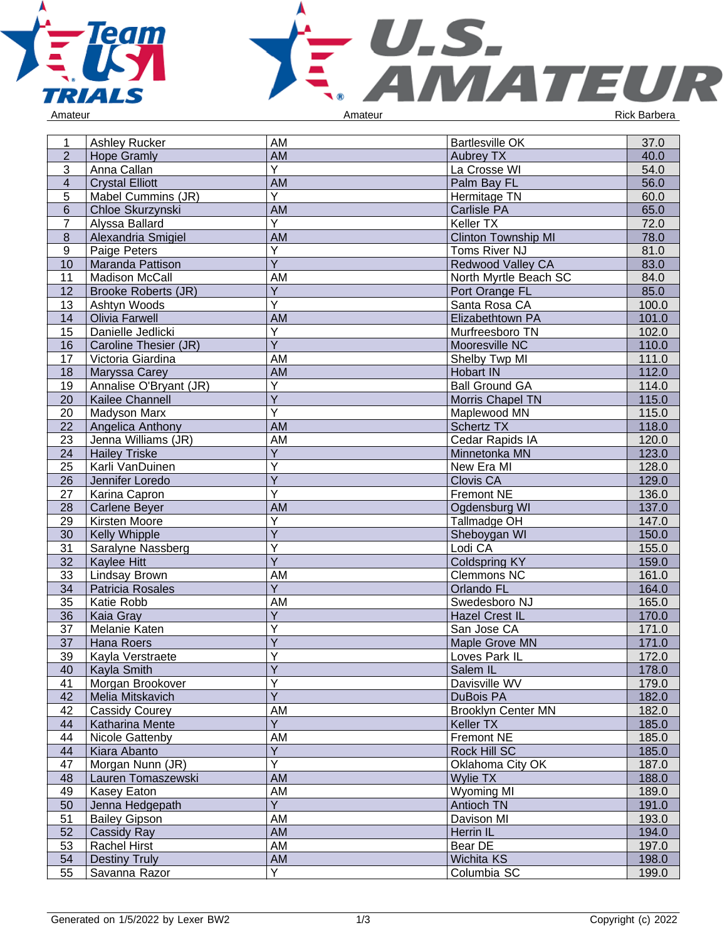



1 Ashley Rucker AM AM Bartlesville OK 37.0<br>
2 Hope Gramly AM AM Aubrey TX 40.0 2 Hope Gramly AM Aubrey TX 40.0 1 Anna Callan 19 N<br>
2 Anna Callan 19 N<br>
3 Anna Callan 19 N<br>
3 Anna Callan 19 N<br>
3 Anna Callan 19 N<br>
56.0<br>
56.0 4 Crystal Elliott AM Palm Bay FL 56.0 5 Mabel Cummins (JR) Y Hermitage TN 60.0 6 Chloe Skurzynski Martin AM Carlisle PA 65.0<br>1 Alyssa Ballard Y Keller TX 65.0 T Alyssa Ballard X X V X X X X X X X X X X X X X 72.0 am and Clinton Township MI 78.0<br>Toms River NJ 78.0 Paige Peters **Y** Toms River NJ 81.0<br>10 Maranda Pattison Y Redwood Valley CA 83.0 10 Maranda Pattison<br>11 Madison McCall Y Redwood Valley CA 83.0<br>AM North Myrtle Beach SC 84.0 11 Madison McCall **AM** North Myrtle Beach SC<br>12 Brooke Roberts (JR) Y Port Orange FL Brooke Roberts (JR) Port Orange FL 85.0 13 Ashtyn Woods<br>14 **Olivia Farwell** Y Santa Rosa CA 100.0<br>AM Elizabethtown PA 101.0 14 Olivia Farwell **AM** Elizabethtown PA 101.0<br>15 Danielle Jedlicki Y **AM** Nurfreesboro TN 102.0 Danielle Jedlicki Y Murfreesboro TN 102.0<br>Y Mooresville NC 110.0 16 | Caroline Thesier (JR) Y<br>
Mooresville NC<br>
AM Shelby Twp MI 17 Victoria Giardina **AM** AM Shelby Twp MI 111.0<br>18 Maryssa Carey **AM** AM Hobart IN 112.0 **Maryssa Carey** 19 Annalise O'Bryant (JR)<br>20 Kailee Channell Y Ball Ground GA 114.0 20 Kailee Channell<br>20 Madyson Marx Y Morris Chapel TN 115.0<br>
Y Maplewood MN 115.0 Madyson Marx Y Maplewood MN 115.000 MAPLEWOOD MN 115.000 MN 115.000 MN 115.000 MN 115.000 MN 115.000 MN 115.000 MN 115.000 MN 115.000 MN 115.000 MN 115.000 MN 115.000 MN 115.000 MN 115.000 MN 115.000 MN 115.000 MN 115.000 MN 115.000 MN 22 Angelica Anthony 118.0<br>23 Denna Williams (JR) AM Schertz TX Cedar Rapids IA 120.0 23 Jenna Williams (JR) AM Cedar Rapids IA 120.0 24 Hailey Triske<br>25 Karli VanDuir Y Minnetonka MN 123.0<br>Y New Era MI 128.0 Karli VanDuinen Y New Era MI 128.0<br>The Clovis CA 129.0 26 Jennifer Loredo<br>27 Karina Capron Y Clovis CA 129.0<br>
Y Fremont NE 136.0 **Karina Capron** Fremont NE 28 Carlene Bever AM AM Carlene Bever AM Carlene Bever AM Ogdensburg WI 137.0 29 Kirsten Moore<br>30 Kelly Whipple Y Tallmadge OH 147.0<br>
Y Sheboygan WI 150.0 Kelly Whipple Y Sheboygan WI 150.0<br>Y Lodi CA 155.0 31 Saralyne Nassberg Y Lodi CA 155.0 32 Kaylee Hitt<br>33 Lindsay Bro Y Coldspring KY 159.0<br>AM Clemmons NC 161.0 Eindsay Brown AM AM Clemmons NC 161.0<br>
23 Patricia Rosales (164.0) Patricia Rosales (164.0) 34 Patricia Rosales<br>35 Katie Robb Y Criando FL 164.0<br>AM Swedesboro NJ 165.0 35 Katie Robb AM Swedesboro NJ 165.0 36 | Kaia Gray Y Hazel Crest IL<br>170.000 Hazel Crest IL<br>170.000 San Jose CA 37 Melanie Katen Y San Jose CA 171.0<br>
Maple Grove MN 171.0 37 Hana Roers Y Maple Grove MN 171.0<br>Y Loves Park IL 172.0 39 Kayla Verstraete<br>40 Kavla Smith Y<br>
Y Salem IL 172.0<br>
Y Salem IL 178.0 Kayla Smith Y Salem IL 278.0 41 Morgan Brookover Y Davisville WV 179.0<br>
DuBois PA 182.0 42 | Melia Mitskavich DuBois PA 182.0 er and the Cassidy Courey **AM** Brooklyn Center MN 182.0<br>
44 Katharina Mente Y Y Keller TX 185.0 44 | Katharina Mente Y Keller TX 185.0<br>AM Fremont NE 185.0 er and the University of the University of the University of the University of the University of the University<br>
The University of the University of the University of the University of the University of the University of t Kiara Abanto Y Rock Hill SC 185.0<br>
Y Oklahoma City OK 187.0 47 | Morgan Nunn (JR) Y Chahoma City OK 187.0<br>AM Wylie TX 188.0 er 188.0 Lauren Tomaszewski Martin Martin Martin Martin Martin Wylie TX 188.0 Lauren Tomaszewski Martin AM Martin Martin Martin Martin Martin Martin Martin Martin Martin Martin Martin Martin Martin Martin Martin Martin Mar Kasey Eaton **AM**<br>Jenna Hedgepath MI 1998.00 50 Jenna Hedgepath<br>51 Bailey Gipson Y Antioch TN 191.0<br>AM Davison MI 193.0 51 Bailey Gipson AM Davison MI 193.0 Example 20 Cassidy Ray **AM** Herrin IL 194.0<br>
Frachel Hirst **AM** Bear DE 197.0 53 Rachel Hirst AM Bear DE 197.0 54 Destiny Truly **AM** AM Wichita KS 198.0 55 Savanna Razor Y Columbia SC 199.0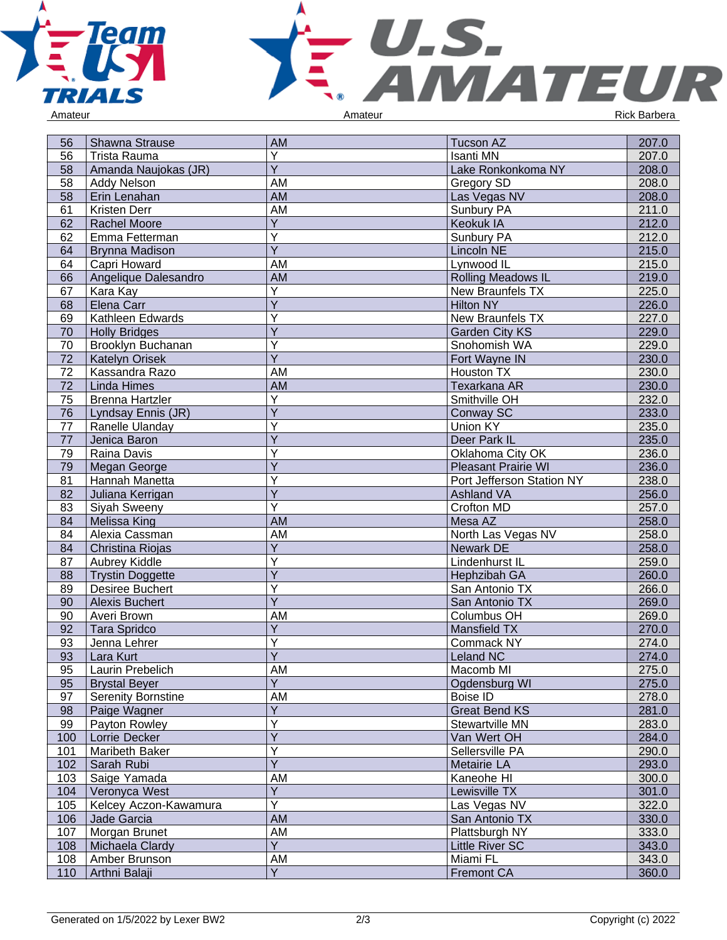



| 56  | <b>Shawna Strause</b>     | <b>AM</b>               | <b>Tucson AZ</b>           | 207.0 |
|-----|---------------------------|-------------------------|----------------------------|-------|
| 56  | <b>Trista Rauma</b>       | Υ                       | <b>Isanti MN</b>           | 207.0 |
| 58  | Amanda Naujokas (JR)      | $\overline{Y}$          | Lake Ronkonkoma NY         | 208.0 |
| 58  | Addy Nelson               | AM                      | <b>Gregory SD</b>          | 208.0 |
| 58  | Erin Lenahan              | <b>AM</b>               | Las Vegas NV               | 208.0 |
| 61  | Kristen Derr              | <b>AM</b>               | Sunbury PA                 | 211.0 |
| 62  | Rachel Moore              | $\overline{\mathsf{Y}}$ | Keokuk IA                  | 212.0 |
| 62  | Emma Fetterman            | Υ                       | Sunbury PA                 | 212.0 |
| 64  | <b>Brynna Madison</b>     | $\overline{\mathsf{Y}}$ | <b>Lincoln NE</b>          | 215.0 |
| 64  | Capri Howard              | AM                      | Lynwood IL                 | 215.0 |
| 66  | Angelique Dalesandro      | AM                      | Rolling Meadows IL         | 219.0 |
| 67  | Kara Kay                  | Υ                       | New Braunfels TX           | 225.0 |
| 68  | Elena Carr                | $\overline{Y}$          | <b>Hilton NY</b>           | 226.0 |
| 69  | Kathleen Edwards          | Y                       | New Braunfels TX           | 227.0 |
| 70  | <b>Holly Bridges</b>      | Y                       | <b>Garden City KS</b>      | 229.0 |
| 70  | Brooklyn Buchanan         | Y                       | Snohomish WA               | 229.0 |
| 72  | <b>Katelyn Orisek</b>     | $\overline{Y}$          | Fort Wayne IN              | 230.0 |
| 72  | Kassandra Razo            | AM                      | Houston TX                 | 230.0 |
| 72  | <b>Linda Himes</b>        | AM                      | Texarkana AR               | 230.0 |
| 75  | <b>Brenna Hartzler</b>    | Y                       | Smithville OH              | 232.0 |
| 76  | Lyndsay Ennis (JR)        | Y                       | Conway SC                  | 233.0 |
| 77  | Ranelle Ulanday           | Υ                       | Union KY                   | 235.0 |
| 77  | Jenica Baron              | Y                       | Deer Park IL               | 235.0 |
| 79  | Raina Davis               | Υ                       | Oklahoma City OK           | 236.0 |
| 79  | Megan George              | Y                       | <b>Pleasant Prairie WI</b> | 236.0 |
| 81  | Hannah Manetta            | Y                       | Port Jefferson Station NY  | 238.0 |
| 82  | Juliana Kerrigan          | $\overline{Y}$          | <b>Ashland VA</b>          | 256.0 |
| 83  | Siyah Sweeny              | Ÿ                       | Crofton MD                 | 257.0 |
| 84  | <b>Melissa King</b>       | AM                      | Mesa AZ                    | 258.0 |
| 84  | Alexia Cassman            | AM                      | North Las Vegas NV         | 258.0 |
| 84  | Christina Riojas          | $\overline{Y}$          | <b>Newark DE</b>           | 258.0 |
| 87  | Aubrey Kiddle             | Υ                       | Lindenhurst IL             | 259.0 |
| 88  | <b>Trystin Doggette</b>   | Y                       | Hephzibah GA               | 260.0 |
| 89  | <b>Desiree Buchert</b>    | Y                       | San Antonio TX             | 266.0 |
| 90  | <b>Alexis Buchert</b>     | $\overline{Y}$          | San Antonio TX             | 269.0 |
| 90  | Averi Brown               | AM                      | Columbus OH                | 269.0 |
| 92  | <b>Tara Spridco</b>       | $\overline{Y}$          | Mansfield TX               | 270.0 |
| 93  | Jenna Lehrer              | Y                       | Commack NY                 | 274.0 |
| 93  | Lara Kurt                 | $\overline{Y}$          | Leland NC                  | 274.0 |
| 95  | Laurin Prebelich          | AM                      | Macomb MI                  | 275.0 |
| 95  | <b>Brystal Beyer</b>      | Y                       | Ogdensburg WI              | 275.0 |
| 97  | <b>Serenity Bornstine</b> | AM                      | <b>Boise ID</b>            | 278.0 |
| 98  | Paige Wagner              | Y                       | <b>Great Bend KS</b>       | 281.0 |
| 99  | Payton Rowley             | $\overline{Y}$          | Stewartville MN            | 283.0 |
| 100 | Lorrie Decker             | $\overline{Y}$          | Van Wert OH                | 284.0 |
| 101 | Maribeth Baker            | Υ                       | Sellersville PA            | 290.0 |
| 102 | Sarah Rubi                | $\overline{Y}$          | Metairie LA                | 293.0 |
| 103 | Saige Yamada              | AM                      | Kaneohe HI                 | 300.0 |
| 104 | Veronyca West             | $\overline{Y}$          | Lewisville TX              | 301.0 |
| 105 | Kelcey Aczon-Kawamura     | $\overline{Y}$          | Las Vegas NV               | 322.0 |
| 106 | Jade Garcia               | AM                      | San Antonio TX             | 330.0 |
| 107 | Morgan Brunet             | AM                      | Plattsburgh NY             | 333.0 |
| 108 | Michaela Clardy           | $\overline{Y}$          | <b>Little River SC</b>     | 343.0 |
| 108 | Amber Brunson             | AM                      | Miami FL                   | 343.0 |
| 110 | Arthni Balaji             | $\overline{Y}$          | <b>Fremont CA</b>          | 360.0 |